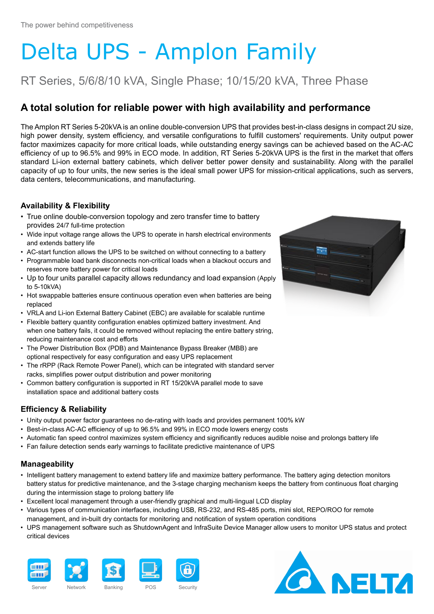# Delta UPS - Amplon Family

## RT Series, 5/6/8/10 kVA, Single Phase; 10/15/20 kVA, Three Phase

### **A total solution for reliable power with high availability and performance**

The Amplon RT Series 5-20kVA is an online double-conversion UPS that provides best-in-class designs in compact 2U size, high power density, system efficiency, and versatile configurations to fulfill customers' requirements. Unity output power factor maximizes capacity for more critical loads, while outstanding energy savings can be achieved based on the AC-AC efficiency of up to 96.5% and 99% in ECO mode. In addition, RT Series 5-20kVA UPS is the first in the market that offers standard Li-ion external battery cabinets, which deliver better power density and sustainability. Along with the parallel capacity of up to four units, the new series is the ideal small power UPS for mission-critical applications, such as servers, data centers, telecommunications, and manufacturing.

#### **Availability & Flexibility**

- True online double-conversion topology and zero transfer time to battery provides 24/7 full-time protection
- Wide input voltage range allows the UPS to operate in harsh electrical environments and extends battery life
- AC-start function allows the UPS to be switched on without connecting to a battery
- Programmable load bank disconnects non-critical loads when a blackout occurs and reserves more battery power for critical loads
- Up to four units parallel capacity allows redundancy and load expansion (Apply to 5-10kVA)
- Hot swappable batteries ensure continuous operation even when batteries are being replaced
- VRLA and Li-ion External Battery Cabinet (EBC) are available for scalable runtime
- Flexible battery quantity configuration enables optimized battery investment. And when one battery fails, it could be removed without replacing the entire battery string, reducing maintenance cost and efforts
- The Power Distribution Box (PDB) and Maintenance Bypass Breaker (MBB) are optional respectively for easy configuration and easy UPS replacement
- The rRPP (Rack Remote Power Panel), which can be integrated with standard server racks, simplifies power output distribution and power monitoring
- Common battery configuration is supported in RT 15/20kVA parallel mode to save installation space and additional battery costs

#### **Efficiency & Reliability**

- Unity output power factor guarantees no de-rating with loads and provides permanent 100% kW
- Best-in-class AC-AC efficiency of up to 96.5% and 99% in ECO mode lowers energy costs
- Automatic fan speed control maximizes system efficiency and significantly reduces audible noise and prolongs battery life
- Fan failure detection sends early warnings to facilitate predictive maintenance of UPS

#### **Manageability**

- Intelligent battery management to extend battery life and maximize battery performance. The battery aging detection monitors battery status for predictive maintenance, and the 3-stage charging mechanism keeps the battery from continuous float charging during the intermission stage to prolong battery life
- Excellent local management through a user-friendly graphical and multi-lingual LCD display
- Various types of communication interfaces, including USB, RS-232, and RS-485 ports, mini slot, REPO/ROO for remote management, and in-built dry contacts for monitoring and notification of system operation conditions
- UPS management software such as ShutdownAgent and InfraSuite Device Manager allow users to monitor UPS status and protect critical devices